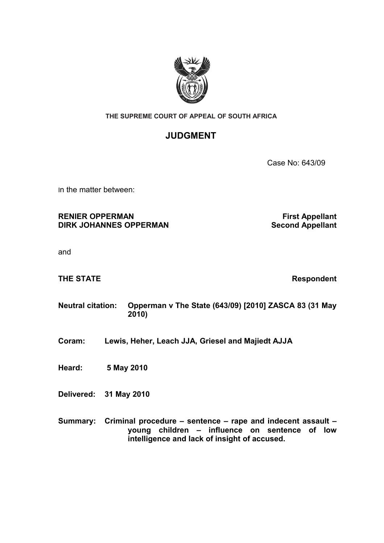

### **THE SUPREME COURT OF APPEAL OF SOUTH AFRICA**

# **JUDGMENT**

Case No: 643/09

In the matter between:

## **RENIER OPPERMAN First Appellant DIRK JOHANNES OPPERMAN Second Appellant**

and

**THE STATE Respondent** 

## **Neutral citation: Opperman v The State (643/09) [2010] ZASCA 83 (31 May 2010)**

**Coram: Lewis, Heher, Leach JJA, Griesel and Majiedt AJJA**

**Heard: 5 May 2010**

**Delivered: 31 May 2010**

**Summary: Criminal procedure – sentence – rape and indecent assault – young children – influence on sentence of low intelligence and lack of insight of accused.**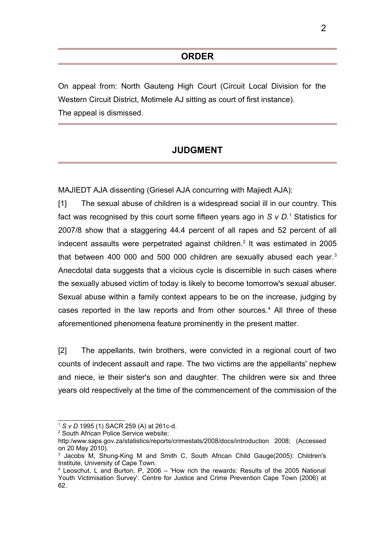On appeal from: North Gauteng High Court (Circuit Local Division for the Western Circuit District, Motimele AJ sitting as court of first instance). The appeal is dismissed.

# **JUDGMENT**

MAJIEDT AJA dissenting (Griesel AJA concurring with Majiedt AJA):

[1] The sexual abuse of children is a widespread social ill in our country. This fact was recognised by this court some fifteen years ago in *S v D*.<sup>[1](#page-1-0)</sup> Statistics for 2007/8 show that a staggering 44.4 percent of all rapes and 52 percent of all indecent assaults were perpetrated against children.<sup>[2](#page-1-1)</sup> It was estimated in 2005 that between 400 000 and 500 000 children are sexually abused each year.<sup>[3](#page-1-2)</sup> Anecdotal data suggests that a vicious cycle is discernible in such cases where the sexually abused victim of today is likely to become tomorrow's sexual abuser. Sexual abuse within a family context appears to be on the increase, judging by cases reported in the law reports and from other sources.<sup>[4](#page-1-3)</sup> All three of these aforementioned phenomena feature prominently in the present matter.

[2] The appellants, twin brothers, were convicted in a regional court of two counts of indecent assault and rape. The two victims are the appellants' nephew and niece, ie their sister's son and daughter. The children were six and three years old respectively at the time of the commencement of the commission of the

<span id="page-1-0"></span><sup>1</sup> *S v D* 1995 (1) SACR 259 (A) at 261c-d.

<span id="page-1-1"></span><sup>2</sup> South African Police Service website:

http:/www.saps.gov.za/statistics/reports/crimestats/2008/docs/introduction 2008; (Accessed on 20 May 2010).

<span id="page-1-2"></span><sup>&</sup>lt;sup>3</sup> Jacobs M, Shung-King M and Smith C, South African Child Gauge(2005): Children's Institute, University of Cape Town.

<span id="page-1-3"></span><sup>4</sup> Leoschut, L and Burton, P, 2006 – 'How rich the rewards: Results of the 2005 National Youth Victimisation Survey'. Centre for Justice and Crime Prevention Cape Town (2006) at 62.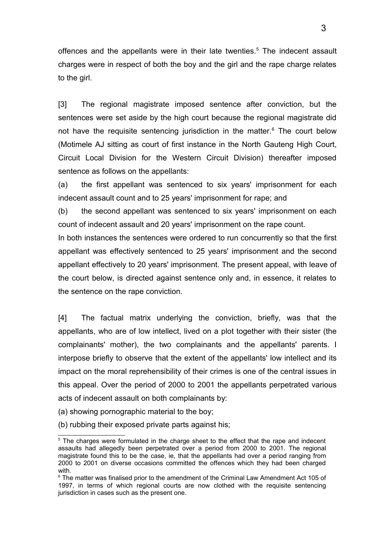offences and the appellants were in their late twenties.<sup>[5](#page-2-0)</sup> The indecent assault charges were in respect of both the boy and the girl and the rape charge relates to the girl.

[3] The regional magistrate imposed sentence after conviction, but the sentences were set aside by the high court because the regional magistrate did not have the requisite sentencing jurisdiction in the matter.<sup>[6](#page-2-1)</sup> The court below (Motimele AJ sitting as court of first instance in the North Gauteng High Court, Circuit Local Division for the Western Circuit Division) thereafter imposed sentence as follows on the appellants:

(a) the first appellant was sentenced to six years' imprisonment for each indecent assault count and to 25 years' imprisonment for rape; and

(b) the second appellant was sentenced to six years' imprisonment on each count of indecent assault and 20 years' imprisonment on the rape count.

In both instances the sentences were ordered to run concurrently so that the first appellant was effectively sentenced to 25 years' imprisonment and the second appellant effectively to 20 years' imprisonment. The present appeal, with leave of the court below, is directed against sentence only and, in essence, it relates to the sentence on the rape conviction.

[4] The factual matrix underlying the conviction, briefly, was that the appellants, who are of low intellect, lived on a plot together with their sister (the complainants' mother), the two complainants and the appellants' parents. I interpose briefly to observe that the extent of the appellants' low intellect and its impact on the moral reprehensibility of their crimes is one of the central issues in this appeal. Over the period of 2000 to 2001 the appellants perpetrated various acts of indecent assault on both complainants by:

- (a) showing pornographic material to the boy;
- (b) rubbing their exposed private parts against his;

<span id="page-2-0"></span> $5$  The charges were formulated in the charge sheet to the effect that the rape and indecent assaults had allegedly been perpetrated over a period from 2000 to 2001. The regional magistrate found this to be the case, ie, that the appellants had over a period ranging from 2000 to 2001 on diverse occasions committed the offences which they had been charged with.

<span id="page-2-1"></span><sup>&</sup>lt;sup>6</sup> The matter was finalised prior to the amendment of the Criminal Law Amendment Act 105 of 1997, in terms of which regional courts are now clothed with the requisite sentencing jurisdiction in cases such as the present one.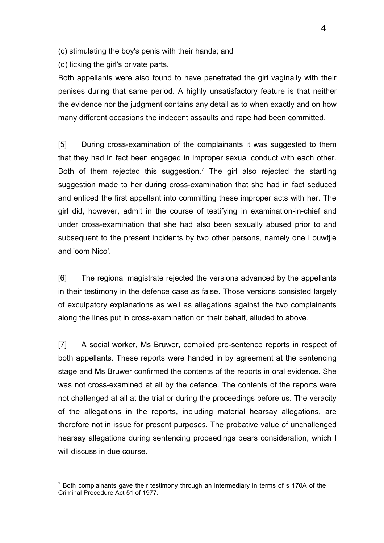(c) stimulating the boy's penis with their hands; and

(d) licking the girl's private parts.

Both appellants were also found to have penetrated the girl vaginally with their penises during that same period. A highly unsatisfactory feature is that neither the evidence nor the judgment contains any detail as to when exactly and on how many different occasions the indecent assaults and rape had been committed.

[5] During cross-examination of the complainants it was suggested to them that they had in fact been engaged in improper sexual conduct with each other. Both of them rejected this suggestion.<sup>[7](#page-3-0)</sup> The girl also rejected the startling suggestion made to her during cross-examination that she had in fact seduced and enticed the first appellant into committing these improper acts with her. The girl did, however, admit in the course of testifying in examination-in-chief and under cross-examination that she had also been sexually abused prior to and subsequent to the present incidents by two other persons, namely one Louwtjie and 'oom Nico'.

[6] The regional magistrate rejected the versions advanced by the appellants in their testimony in the defence case as false. Those versions consisted largely of exculpatory explanations as well as allegations against the two complainants along the lines put in cross-examination on their behalf, alluded to above.

[7] A social worker, Ms Bruwer, compiled pre-sentence reports in respect of both appellants. These reports were handed in by agreement at the sentencing stage and Ms Bruwer confirmed the contents of the reports in oral evidence. She was not cross-examined at all by the defence. The contents of the reports were not challenged at all at the trial or during the proceedings before us. The veracity of the allegations in the reports, including material hearsay allegations, are therefore not in issue for present purposes. The probative value of unchallenged hearsay allegations during sentencing proceedings bears consideration, which I will discuss in due course.

<span id="page-3-0"></span><sup>&</sup>lt;sup>7</sup> Both complainants gave their testimony through an intermediary in terms of s 170A of the Criminal Procedure Act 51 of 1977.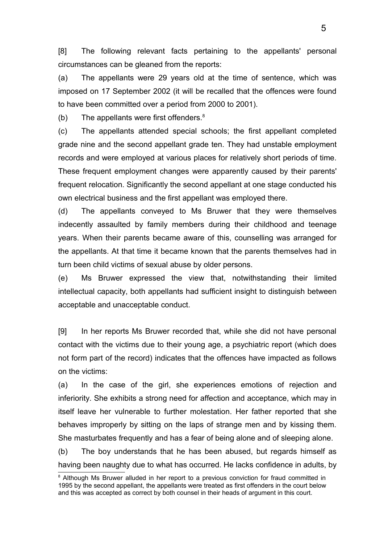[8] The following relevant facts pertaining to the appellants' personal circumstances can be gleaned from the reports:

(a) The appellants were 29 years old at the time of sentence, which was imposed on 17 September 2002 (it will be recalled that the offences were found to have been committed over a period from 2000 to 2001).

(b) The appellants were first offenders. $8$ 

(c) The appellants attended special schools; the first appellant completed grade nine and the second appellant grade ten. They had unstable employment records and were employed at various places for relatively short periods of time. These frequent employment changes were apparently caused by their parents' frequent relocation. Significantly the second appellant at one stage conducted his own electrical business and the first appellant was employed there.

(d) The appellants conveyed to Ms Bruwer that they were themselves indecently assaulted by family members during their childhood and teenage years. When their parents became aware of this, counselling was arranged for the appellants. At that time it became known that the parents themselves had in turn been child victims of sexual abuse by older persons.

(e) Ms Bruwer expressed the view that, notwithstanding their limited intellectual capacity, both appellants had sufficient insight to distinguish between acceptable and unacceptable conduct.

[9] In her reports Ms Bruwer recorded that, while she did not have personal contact with the victims due to their young age, a psychiatric report (which does not form part of the record) indicates that the offences have impacted as follows on the victims:

(a) In the case of the girl, she experiences emotions of rejection and inferiority. She exhibits a strong need for affection and acceptance, which may in itself leave her vulnerable to further molestation. Her father reported that she behaves improperly by sitting on the laps of strange men and by kissing them. She masturbates frequently and has a fear of being alone and of sleeping alone.

(b) The boy understands that he has been abused, but regards himself as having been naughty due to what has occurred. He lacks confidence in adults, by

<span id="page-4-0"></span><sup>&</sup>lt;sup>8</sup> Although Ms Bruwer alluded in her report to a previous conviction for fraud committed in 1995 by the second appellant, the appellants were treated as first offenders in the court below and this was accepted as correct by both counsel in their heads of argument in this court.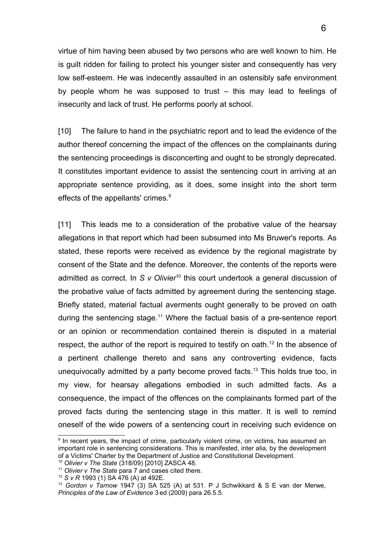virtue of him having been abused by two persons who are well known to him. He is guilt ridden for failing to protect his younger sister and consequently has very low self-esteem. He was indecently assaulted in an ostensibly safe environment by people whom he was supposed to trust – this may lead to feelings of insecurity and lack of trust. He performs poorly at school.

[10] The failure to hand in the psychiatric report and to lead the evidence of the author thereof concerning the impact of the offences on the complainants during the sentencing proceedings is disconcerting and ought to be strongly deprecated. It constitutes important evidence to assist the sentencing court in arriving at an appropriate sentence providing, as it does, some insight into the short term effects of the appellants' crimes.<sup>[9](#page-5-0)</sup>

[11] This leads me to a consideration of the probative value of the hearsay allegations in that report which had been subsumed into Ms Bruwer's reports. As stated, these reports were received as evidence by the regional magistrate by consent of the State and the defence. Moreover, the contents of the reports were admitted as correct. In *S v Olivier<sup>[10](#page-5-1)</sup>* this court undertook a general discussion of the probative value of facts admitted by agreement during the sentencing stage. Briefly stated, material factual averments ought generally to be proved on oath during the sentencing stage.<sup>[11](#page-5-2)</sup> Where the factual basis of a pre-sentence report or an opinion or recommendation contained therein is disputed in a material respect, the author of the report is required to testify on oath.<sup>[12](#page-5-3)</sup> In the absence of a pertinent challenge thereto and sans any controverting evidence, facts unequivocally admitted by a party become proved facts.<sup>[13](#page-5-4)</sup> This holds true too, in my view, for hearsay allegations embodied in such admitted facts. As a consequence, the impact of the offences on the complainants formed part of the proved facts during the sentencing stage in this matter. It is well to remind oneself of the wide powers of a sentencing court in receiving such evidence on

<span id="page-5-0"></span><sup>&</sup>lt;sup>9</sup> In recent years, the impact of crime, particularly violent crime, on victims, has assumed an important role in sentencing considerations. This is manifested, inter alia, by the development of a Victims' Charter by the Department of Justice and Constitutional Development.

<span id="page-5-1"></span><sup>10</sup> *Olivier v The State* (318/09) [2010] ZASCA 48.

<span id="page-5-2"></span><sup>11</sup> *Olivier v The State* para 7 and cases cited there.

<span id="page-5-3"></span><sup>12</sup> *S v R* 1993 (1) SA 476 (A) at 492E.

<span id="page-5-4"></span><sup>13</sup> *Gordon v Tarnow* 1947 (3) SA 525 (A) at 531. P J Schwikkard & S E van der Merwe, *Principles of the Law of Evidence* 3ed (2009) para 26.5.5.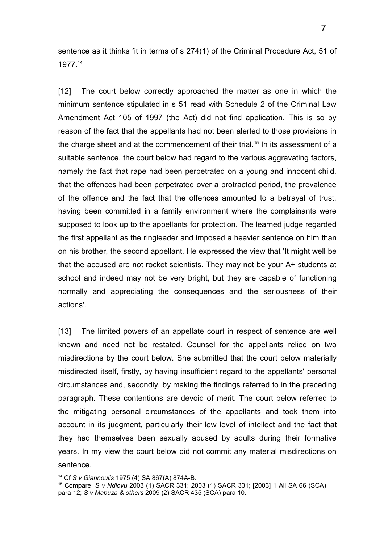sentence as it thinks fit in terms of s 274(1) of the Criminal Procedure Act, 51 of 1977.[14](#page-6-0)

[12] The court below correctly approached the matter as one in which the minimum sentence stipulated in s 51 read with Schedule 2 of the Criminal Law Amendment Act 105 of 1997 (the Act) did not find application. This is so by reason of the fact that the appellants had not been alerted to those provisions in the charge sheet and at the commencement of their trial.<sup>[15](#page-6-1)</sup> In its assessment of a suitable sentence, the court below had regard to the various aggravating factors, namely the fact that rape had been perpetrated on a young and innocent child, that the offences had been perpetrated over a protracted period, the prevalence of the offence and the fact that the offences amounted to a betrayal of trust, having been committed in a family environment where the complainants were supposed to look up to the appellants for protection. The learned judge regarded the first appellant as the ringleader and imposed a heavier sentence on him than on his brother, the second appellant. He expressed the view that 'It might well be that the accused are not rocket scientists. They may not be your A+ students at school and indeed may not be very bright, but they are capable of functioning normally and appreciating the consequences and the seriousness of their actions'.

[13] The limited powers of an appellate court in respect of sentence are well known and need not be restated. Counsel for the appellants relied on two misdirections by the court below. She submitted that the court below materially misdirected itself, firstly, by having insufficient regard to the appellants' personal circumstances and, secondly, by making the findings referred to in the preceding paragraph. These contentions are devoid of merit. The court below referred to the mitigating personal circumstances of the appellants and took them into account in its judgment, particularly their low level of intellect and the fact that they had themselves been sexually abused by adults during their formative years. In my view the court below did not commit any material misdirections on sentence.

<span id="page-6-0"></span><sup>14</sup> Cf *S v Giannoulis* 1975 (4) SA 867(A) 874A-B.

<span id="page-6-1"></span><sup>15</sup> Compare: *S v Ndlovu* 2003 (1) SACR 331; 2003 (1) SACR 331; [2003] 1 All SA 66 (SCA) para 12; *S v Mabuza & others* 2009 (2) SACR 435 (SCA) para 10.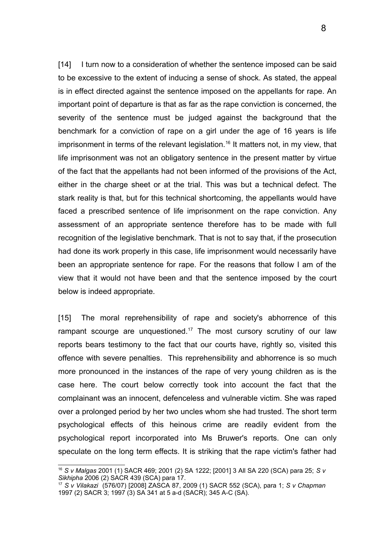[14] I turn now to a consideration of whether the sentence imposed can be said to be excessive to the extent of inducing a sense of shock. As stated, the appeal is in effect directed against the sentence imposed on the appellants for rape. An important point of departure is that as far as the rape conviction is concerned, the severity of the sentence must be judged against the background that the benchmark for a conviction of rape on a girl under the age of 16 years is life imprisonment in terms of the relevant legislation.<sup>[16](#page-7-0)</sup> It matters not, in my view, that life imprisonment was not an obligatory sentence in the present matter by virtue of the fact that the appellants had not been informed of the provisions of the Act, either in the charge sheet or at the trial. This was but a technical defect. The stark reality is that, but for this technical shortcoming, the appellants would have faced a prescribed sentence of life imprisonment on the rape conviction. Any assessment of an appropriate sentence therefore has to be made with full recognition of the legislative benchmark. That is not to say that, if the prosecution had done its work properly in this case, life imprisonment would necessarily have been an appropriate sentence for rape. For the reasons that follow I am of the view that it would not have been and that the sentence imposed by the court below is indeed appropriate.

[15] The moral reprehensibility of rape and society's abhorrence of this rampant scourge are unquestioned.<sup>[17](#page-7-1)</sup> The most cursory scrutiny of our law reports bears testimony to the fact that our courts have, rightly so, visited this offence with severe penalties. This reprehensibility and abhorrence is so much more pronounced in the instances of the rape of very young children as is the case here. The court below correctly took into account the fact that the complainant was an innocent, defenceless and vulnerable victim. She was raped over a prolonged period by her two uncles whom she had trusted. The short term psychological effects of this heinous crime are readily evident from the psychological report incorporated into Ms Bruwer's reports. One can only speculate on the long term effects. It is striking that the rape victim's father had

<span id="page-7-0"></span><sup>16</sup> *S v Malgas* 2001 (1) SACR 469; 2001 (2) SA 1222; [2001] 3 All SA 220 (SCA) para 25; *S v Sikhipha* 2006 (2) SACR 439 (SCA) para 17.

<span id="page-7-1"></span><sup>17</sup> *S v Vilakazi* (576/07) [2008] ZASCA 87, 2009 (1) SACR 552 (SCA), para 1; *S v Chapman* 1997 (2) SACR 3; 1997 (3) SA 341 at 5 a-d (SACR); 345 A-C (SA).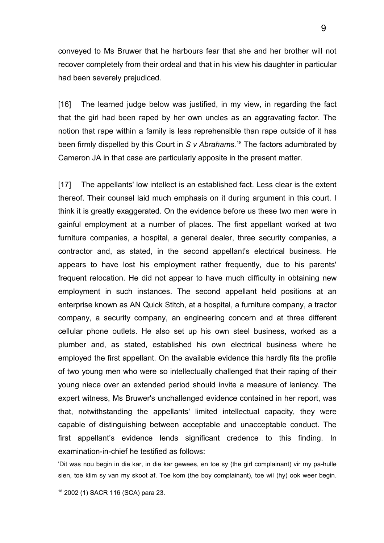conveyed to Ms Bruwer that he harbours fear that she and her brother will not recover completely from their ordeal and that in his view his daughter in particular had been severely prejudiced.

[16] The learned judge below was justified, in my view, in regarding the fact that the girl had been raped by her own uncles as an aggravating factor. The notion that rape within a family is less reprehensible than rape outside of it has been firmly dispelled by this Court in *S v Abrahams.*[18](#page-8-0) The factors adumbrated by Cameron JA in that case are particularly apposite in the present matter.

[17] The appellants' low intellect is an established fact. Less clear is the extent thereof. Their counsel laid much emphasis on it during argument in this court. I think it is greatly exaggerated. On the evidence before us these two men were in gainful employment at a number of places. The first appellant worked at two furniture companies, a hospital, a general dealer, three security companies, a contractor and, as stated, in the second appellant's electrical business. He appears to have lost his employment rather frequently, due to his parents' frequent relocation. He did not appear to have much difficulty in obtaining new employment in such instances. The second appellant held positions at an enterprise known as AN Quick Stitch, at a hospital, a furniture company, a tractor company, a security company, an engineering concern and at three different cellular phone outlets. He also set up his own steel business, worked as a plumber and, as stated, established his own electrical business where he employed the first appellant. On the available evidence this hardly fits the profile of two young men who were so intellectually challenged that their raping of their young niece over an extended period should invite a measure of leniency. The expert witness, Ms Bruwer's unchallenged evidence contained in her report, was that, notwithstanding the appellants' limited intellectual capacity, they were capable of distinguishing between acceptable and unacceptable conduct. The first appellant's evidence lends significant credence to this finding. In examination-in-chief he testified as follows:

'Dit was nou begin in die kar, in die kar gewees, en toe sy (the girl complainant) vir my pa-hulle sien, toe klim sy van my skoot af. Toe kom (the boy complainant), toe wil (hy) ook weer begin.

<span id="page-8-0"></span><sup>18</sup> 2002 (1) SACR 116 (SCA) para 23.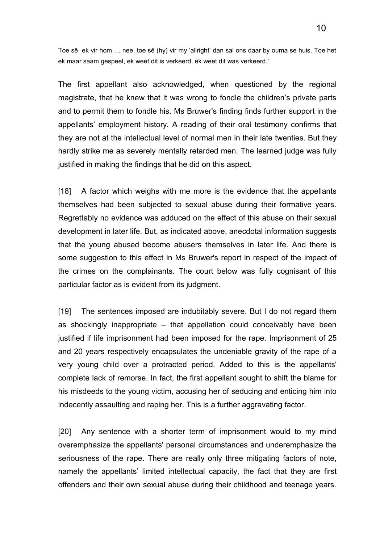Toe sê ek vir hom … nee, toe sê (hy) vir my 'allright' dan sal ons daar by ouma se huis. Toe het ek maar saam gespeel, ek weet dit is verkeerd, ek weet dit was verkeerd.'

The first appellant also acknowledged, when questioned by the regional magistrate, that he knew that it was wrong to fondle the children's private parts and to permit them to fondle his. Ms Bruwer's finding finds further support in the appellants' employment history. A reading of their oral testimony confirms that they are not at the intellectual level of normal men in their late twenties. But they hardly strike me as severely mentally retarded men. The learned judge was fully justified in making the findings that he did on this aspect.

[18] A factor which weighs with me more is the evidence that the appellants themselves had been subjected to sexual abuse during their formative years. Regrettably no evidence was adduced on the effect of this abuse on their sexual development in later life. But, as indicated above, anecdotal information suggests that the young abused become abusers themselves in later life. And there is some suggestion to this effect in Ms Bruwer's report in respect of the impact of the crimes on the complainants. The court below was fully cognisant of this particular factor as is evident from its judgment.

[19] The sentences imposed are indubitably severe. But I do not regard them as shockingly inappropriate – that appellation could conceivably have been justified if life imprisonment had been imposed for the rape. Imprisonment of 25 and 20 years respectively encapsulates the undeniable gravity of the rape of a very young child over a protracted period. Added to this is the appellants' complete lack of remorse. In fact, the first appellant sought to shift the blame for his misdeeds to the young victim, accusing her of seducing and enticing him into indecently assaulting and raping her. This is a further aggravating factor.

[20] Any sentence with a shorter term of imprisonment would to my mind overemphasize the appellants' personal circumstances and underemphasize the seriousness of the rape. There are really only three mitigating factors of note, namely the appellants' limited intellectual capacity, the fact that they are first offenders and their own sexual abuse during their childhood and teenage years.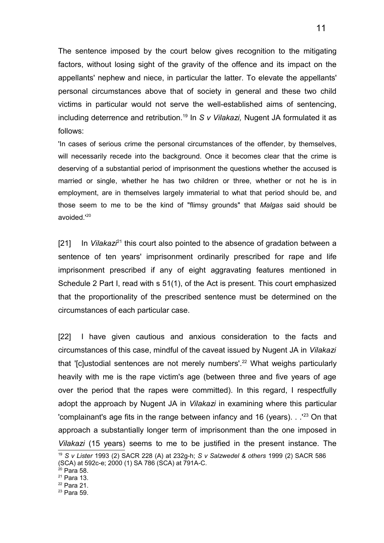The sentence imposed by the court below gives recognition to the mitigating factors, without losing sight of the gravity of the offence and its impact on the appellants' nephew and niece, in particular the latter. To elevate the appellants' personal circumstances above that of society in general and these two child victims in particular would not serve the well-established aims of sentencing, including deterrence and retribution.<sup>[19](#page-10-0)</sup> In *S v Vilakazi*, Nugent JA formulated it as follows:

'In cases of serious crime the personal circumstances of the offender, by themselves, will necessarily recede into the background. Once it becomes clear that the crime is deserving of a substantial period of imprisonment the questions whether the accused is married or single, whether he has two children or three, whether or not he is in employment, are in themselves largely immaterial to what that period should be, and those seem to me to be the kind of "flimsy grounds" that *Malgas* said should be avoided.'<sup>[20](#page-10-1)</sup>

[21] In *Vilakazi*[21](#page-10-2) this court also pointed to the absence of gradation between a sentence of ten years' imprisonment ordinarily prescribed for rape and life imprisonment prescribed if any of eight aggravating features mentioned in Schedule 2 Part I, read with s 51(1), of the Act is present. This court emphasized that the proportionality of the prescribed sentence must be determined on the circumstances of each particular case.

[22] I have given cautious and anxious consideration to the facts and circumstances of this case, mindful of the caveat issued by Nugent JA in *Vilakazi* that '[c]ustodial sentences are not merely numbers'.<sup>[22](#page-10-3)</sup> What weighs particularly heavily with me is the rape victim's age (between three and five years of age over the period that the rapes were committed). In this regard, I respectfully adopt the approach by Nugent JA in *Vilakazi* in examining where this particular 'complainant's age fits in the range between infancy and 16 (years).  $\cdot$  .<sup>1[23](#page-10-4)</sup> On that approach a substantially longer term of imprisonment than the one imposed in *Vilakazi* (15 years) seems to me to be justified in the present instance. The

<span id="page-10-0"></span><sup>19</sup> *S v Lister* 1993 (2) SACR 228 (A) at 232g-h; *S v Salzwedel & others* 1999 (2) SACR 586 (SCA) at 592c-e; 2000 (1) SA 786 (SCA) at 791A-C.

<span id="page-10-1"></span> $20$  Para 58.

<span id="page-10-2"></span><sup>21</sup> Para 13.

<span id="page-10-3"></span><sup>22</sup> Para 21.

<span id="page-10-4"></span><sup>23</sup> Para 59.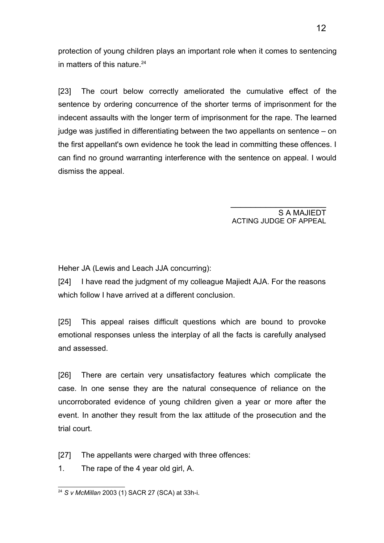protection of young children plays an important role when it comes to sentencing in matters of this nature. $24$ 

[23] The court below correctly ameliorated the cumulative effect of the sentence by ordering concurrence of the shorter terms of imprisonment for the indecent assaults with the longer term of imprisonment for the rape. The learned judge was justified in differentiating between the two appellants on sentence – on the first appellant's own evidence he took the lead in committing these offences. I can find no ground warranting interference with the sentence on appeal. I would dismiss the appeal.

> S A MAJIEDT ACTING JUDGE OF APPEAL

\_\_\_\_\_\_\_\_\_\_\_\_\_\_\_\_\_\_\_

Heher JA (Lewis and Leach JJA concurring):

[24] I have read the judgment of my colleague Majiedt AJA. For the reasons which follow I have arrived at a different conclusion.

[25] This appeal raises difficult questions which are bound to provoke emotional responses unless the interplay of all the facts is carefully analysed and assessed.

[26] There are certain very unsatisfactory features which complicate the case. In one sense they are the natural consequence of reliance on the uncorroborated evidence of young children given a year or more after the event. In another they result from the lax attitude of the prosecution and the trial court.

[27] The appellants were charged with three offences:

1. The rape of the 4 year old girl, A.

<span id="page-11-0"></span><sup>24</sup> *S v McMillan* 2003 (1) SACR 27 (SCA) at 33h-i.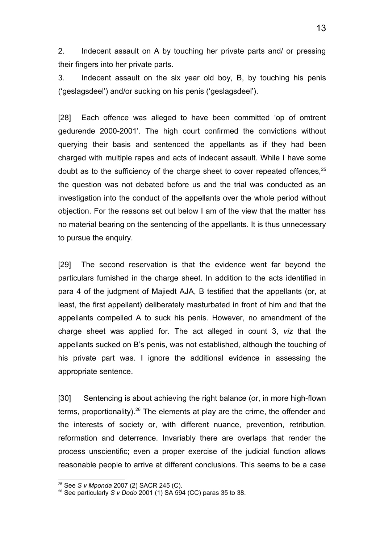2. Indecent assault on A by touching her private parts and/ or pressing their fingers into her private parts.

3. Indecent assault on the six year old boy, B, by touching his penis ('geslagsdeel') and/or sucking on his penis ('geslagsdeel').

[28] Each offence was alleged to have been committed 'op of omtrent gedurende 2000-2001'. The high court confirmed the convictions without querying their basis and sentenced the appellants as if they had been charged with multiple rapes and acts of indecent assault. While I have some doubt as to the sufficiency of the charge sheet to cover repeated offences,  $25$ the question was not debated before us and the trial was conducted as an investigation into the conduct of the appellants over the whole period without objection. For the reasons set out below I am of the view that the matter has no material bearing on the sentencing of the appellants. It is thus unnecessary to pursue the enquiry.

[29] The second reservation is that the evidence went far beyond the particulars furnished in the charge sheet. In addition to the acts identified in para 4 of the judgment of Majiedt AJA, B testified that the appellants (or, at least, the first appellant) deliberately masturbated in front of him and that the appellants compelled A to suck his penis. However, no amendment of the charge sheet was applied for. The act alleged in count 3, *viz* that the appellants sucked on B's penis, was not established, although the touching of his private part was. I ignore the additional evidence in assessing the appropriate sentence.

[30] Sentencing is about achieving the right balance (or, in more high-flown terms, proportionality).<sup>[26](#page-12-1)</sup> The elements at play are the crime, the offender and the interests of society or, with different nuance, prevention, retribution, reformation and deterrence. Invariably there are overlaps that render the process unscientific; even a proper exercise of the judicial function allows reasonable people to arrive at different conclusions. This seems to be a case

<span id="page-12-0"></span><sup>25</sup> See *S v Mponda* 2007 (2) SACR 245 (C).

<span id="page-12-1"></span><sup>26</sup> See particularly *S v Dodo* 2001 (1) SA 594 (CC) paras 35 to 38.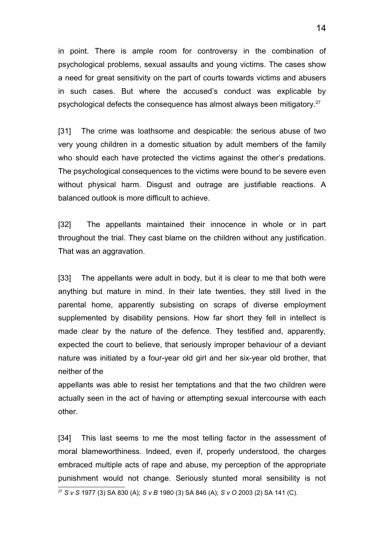in point. There is ample room for controversy in the combination of psychological problems, sexual assaults and young victims. The cases show a need for great sensitivity on the part of courts towards victims and abusers in such cases. But where the accused's conduct was explicable by psychological defects the consequence has almost always been mitigatory.[27](#page-13-0)

[31] The crime was loathsome and despicable: the serious abuse of two very young children in a domestic situation by adult members of the family who should each have protected the victims against the other's predations. The psychological consequences to the victims were bound to be severe even without physical harm. Disgust and outrage are justifiable reactions. A balanced outlook is more difficult to achieve.

[32] The appellants maintained their innocence in whole or in part throughout the trial. They cast blame on the children without any justification. That was an aggravation.

[33] The appellants were adult in body, but it is clear to me that both were anything but mature in mind. In their late twenties, they still lived in the parental home, apparently subsisting on scraps of diverse employment supplemented by disability pensions. How far short they fell in intellect is made clear by the nature of the defence. They testified and, apparently, expected the court to believe, that seriously improper behaviour of a deviant nature was initiated by a four-year old girl and her six-year old brother, that neither of the

appellants was able to resist her temptations and that the two children were actually seen in the act of having or attempting sexual intercourse with each other.

[34] This last seems to me the most telling factor in the assessment of moral blameworthiness. Indeed, even if, properly understood, the charges embraced multiple acts of rape and abuse, my perception of the appropriate punishment would not change. Seriously stunted moral sensibility is not

<span id="page-13-0"></span><sup>27</sup> *S v S* 1977 (3) SA 830 (A); *S v B* 1980 (3) SA 846 (A); *S v O* 2003 (2) SA 141 (C).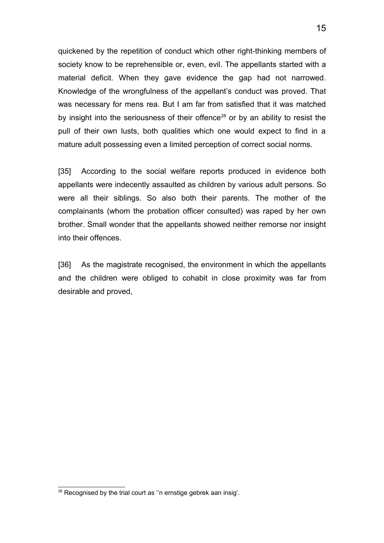quickened by the repetition of conduct which other right-thinking members of society know to be reprehensible or, even, evil. The appellants started with a material deficit. When they gave evidence the gap had not narrowed. Knowledge of the wrongfulness of the appellant's conduct was proved. That was necessary for mens rea. But I am far from satisfied that it was matched by insight into the seriousness of their offence<sup>[28](#page-14-0)</sup> or by an ability to resist the pull of their own lusts, both qualities which one would expect to find in a mature adult possessing even a limited perception of correct social norms.

15

[35] According to the social welfare reports produced in evidence both appellants were indecently assaulted as children by various adult persons. So were all their siblings. So also both their parents. The mother of the complainants (whom the probation officer consulted) was raped by her own brother. Small wonder that the appellants showed neither remorse nor insight into their offences.

[36] As the magistrate recognised, the environment in which the appellants and the children were obliged to cohabit in close proximity was far from desirable and proved,

<span id="page-14-0"></span><sup>&</sup>lt;sup>28</sup> Recognised by the trial court as "n ernstige gebrek aan insig".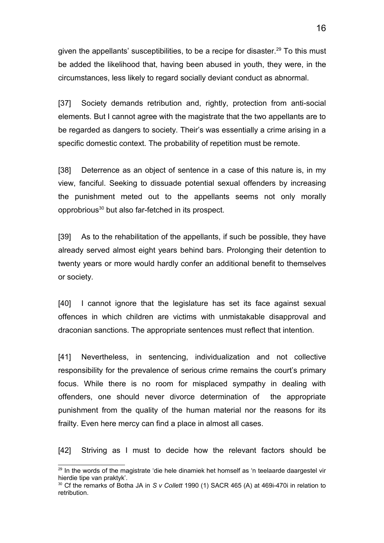given the appellants' susceptibilities, to be a recipe for disaster.<sup>[29](#page-15-0)</sup> To this must be added the likelihood that, having been abused in youth, they were, in the circumstances, less likely to regard socially deviant conduct as abnormal.

[37] Society demands retribution and, rightly, protection from anti-social elements. But I cannot agree with the magistrate that the two appellants are to be regarded as dangers to society. Their's was essentially a crime arising in a specific domestic context. The probability of repetition must be remote.

[38] Deterrence as an object of sentence in a case of this nature is, in my view, fanciful. Seeking to dissuade potential sexual offenders by increasing the punishment meted out to the appellants seems not only morally opprobrious[30](#page-15-1) but also far-fetched in its prospect.

[39] As to the rehabilitation of the appellants, if such be possible, they have already served almost eight years behind bars. Prolonging their detention to twenty years or more would hardly confer an additional benefit to themselves or society.

[40] I cannot ignore that the legislature has set its face against sexual offences in which children are victims with unmistakable disapproval and draconian sanctions. The appropriate sentences must reflect that intention.

[41] Nevertheless, in sentencing, individualization and not collective responsibility for the prevalence of serious crime remains the court's primary focus. While there is no room for misplaced sympathy in dealing with offenders, one should never divorce determination of the appropriate punishment from the quality of the human material nor the reasons for its frailty. Even here mercy can find a place in almost all cases.

[42] Striving as I must to decide how the relevant factors should be

<span id="page-15-0"></span><sup>&</sup>lt;sup>29</sup> In the words of the magistrate 'die hele dinamiek het homself as 'n teelaarde daargestel vir hierdie tipe van praktyk'.

<span id="page-15-1"></span><sup>30</sup> Cf the remarks of Botha JA in *S v Collett* 1990 (1) SACR 465 (A) at 469i-470i in relation to retribution.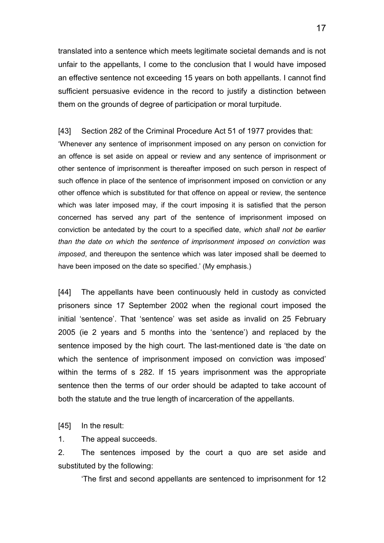translated into a sentence which meets legitimate societal demands and is not unfair to the appellants, I come to the conclusion that I would have imposed an effective sentence not exceeding 15 years on both appellants. I cannot find sufficient persuasive evidence in the record to justify a distinction between them on the grounds of degree of participation or moral turpitude.

[43] Section 282 of the Criminal Procedure Act 51 of 1977 provides that: 'Whenever any sentence of imprisonment imposed on any person on conviction for an offence is set aside on appeal or review and any sentence of imprisonment or other sentence of imprisonment is thereafter imposed on such person in respect of such offence in place of the sentence of imprisonment imposed on conviction or any other offence which is substituted for that offence on appeal or review, the sentence which was later imposed may, if the court imposing it is satisfied that the person concerned has served any part of the sentence of imprisonment imposed on conviction be antedated by the court to a specified date, *which shall not be earlier than the date on which the sentence of imprisonment imposed on conviction was imposed*, and thereupon the sentence which was later imposed shall be deemed to have been imposed on the date so specified.' (My emphasis.)

[44] The appellants have been continuously held in custody as convicted prisoners since 17 September 2002 when the regional court imposed the initial 'sentence'. That 'sentence' was set aside as invalid on 25 February 2005 (ie 2 years and 5 months into the 'sentence') and replaced by the sentence imposed by the high court. The last-mentioned date is 'the date on which the sentence of imprisonment imposed on conviction was imposed' within the terms of s 282. If 15 years imprisonment was the appropriate sentence then the terms of our order should be adapted to take account of both the statute and the true length of incarceration of the appellants.

[45] In the result:

1. The appeal succeeds.

2. The sentences imposed by the court a quo are set aside and substituted by the following:

'The first and second appellants are sentenced to imprisonment for 12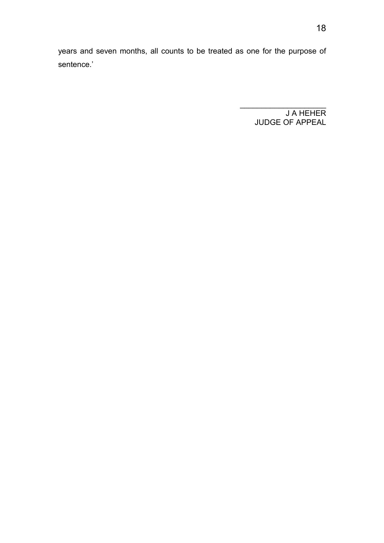years and seven months, all counts to be treated as one for the purpose of sentence.'

> J A HEHER JUDGE OF APPEAL

 $\mathcal{L}_\text{max}$  and  $\mathcal{L}_\text{max}$  and  $\mathcal{L}_\text{max}$